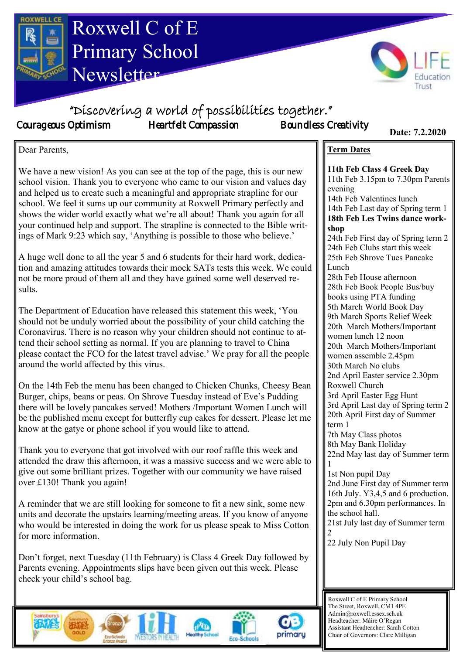



"Discovering a world of possibilities together."

Courageous Optimism Heartfelt Compassion Boundless Creativity

**Term Dates**

evening

**11th Feb Class 4 Greek Day** 11th Feb 3.15pm to 7.30pm Parents

14th Feb Valentines lunch

14th Feb Last day of Spring term 1 **18th Feb Les Twins dance work-**

**Date: 7.2.2020**

**Date: 7.2.2020**

Dear Parents,

We have a new vision! As you can see at the top of the page, this is our new school vision. Thank you to everyone who came to our vision and values day and helped us to create such a meaningful and appropriate strapline for our school. We feel it sums up our community at Roxwell Primary perfectly and shows the wider world exactly what we're all about! Thank you again for all your continued help and support. The strapline is connected to the Bible writings of Mark 9:23 which say, 'Anything is possible to those who believe.'

A huge well done to all the year 5 and 6 students for their hard work, dedication and amazing attitudes towards their mock SATs tests this week. We could not be more proud of them all and they have gained some well deserved results.

The Department of Education have released this statement this week, 'You should not be unduly worried about the possibility of your child catching the Coronavirus. There is no reason why your children should not continue to attend their school setting as normal. If you are planning to travel to China please contact the FCO for the latest travel advise.' We pray for all the people around the world affected by this virus.

On the 14th Feb the menu has been changed to Chicken Chunks, Cheesy Bean Burger, chips, beans or peas. On Shrove Tuesday instead of Eve's Pudding there will be lovely pancakes served! Mothers /Important Women Lunch will be the published menu except for butterfly cup cakes for dessert. Please let me know at the gatye or phone school if you would like to attend.

Thank you to everyone that got involved with our roof raffle this week and attended the draw this afternoon, it was a massive success and we were able to give out some brilliant prizes. Together with our community we have raised over £130! Thank you again!

A reminder that we are still looking for someone to fit a new sink, some new units and decorate the upstairs learning/meeting areas. If you know of anyone who would be interested in doing the work for us please speak to Miss Cotton for more information.

Don't forget, next Tuesday (11th February) is Class 4 Greek Day followed by Parents evening. Appointments slips have been given out this week. Please check your child's school bag.







**shop** 24th Feb First day of Spring term 2 24th Feb Clubs start this week 25th Feb Shrove Tues Pancake Lunch 28th Feb House afternoon 28th Feb Book People Bus/buy books using PTA funding 5th March World Book Day 9th March Sports Relief Week 20th March Mothers/Important women lunch 12 noon 20th March Mothers/Important women assemble 2.45pm 30th March No clubs 2nd April Easter service 2.30pm Roxwell Church 3rd April Easter Egg Hunt 3rd April Last day of Spring term 2 20th April First day of Summer term 1 7th May Class photos 8th May Bank Holiday 22nd May last day of Summer term 1 1st Non pupil Day 2nd June First day of Summer term 16th July. Y3,4,5 and 6 production. 2pm and 6.30pm performances. In the school hall.

21st July last day of Summer term 2

22 July Non Pupil Day

Roxwell C of E Primary School The Street, Roxwell. CM1 4PE Admin@roxwell.essex.sch.uk Headteacher: Máire O'Regan Assistant Headteacher: Sarah Cotton Chair of Governors: Clare Milligan